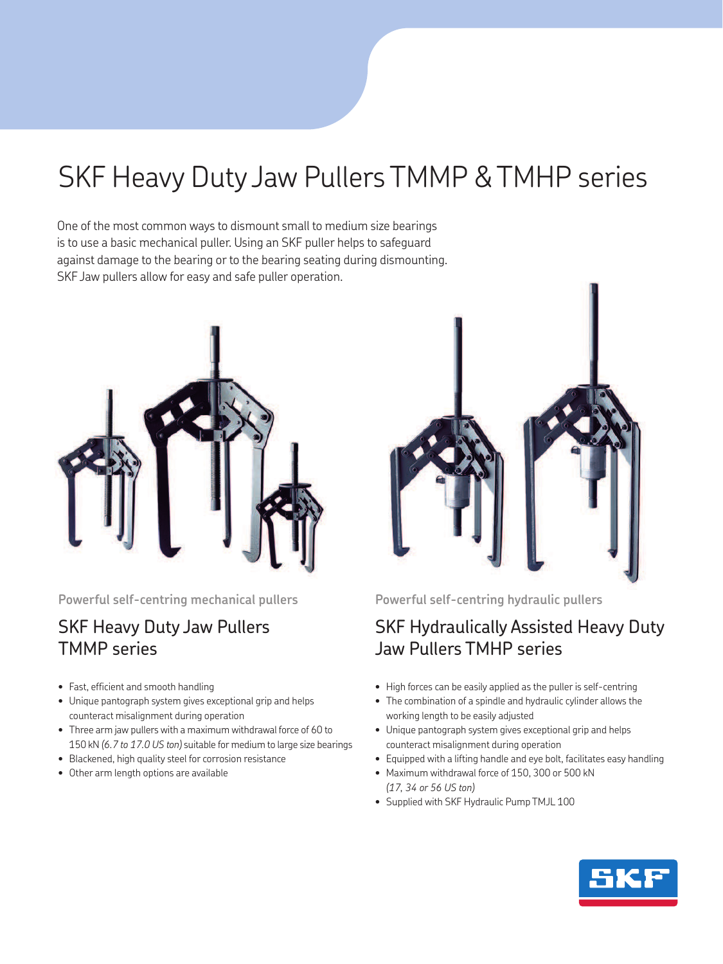# SKF Heavy Duty Jaw Pullers TMMP & TMHP series

One of the most common ways to dismount small to medium size bearings is to use a basic mechanical puller. Using an SKF puller helps to safeguard against damage to the bearing or to the bearing seating during dismounting. SKF Jaw pullers allow for easy and safe puller operation.



**Powerful self-centring mechanical pullers** 

### SKF Heavy Duty Jaw Pullers TMMP series

- Fast, efficient and smooth handling
- Unique pantograph system gives exceptional grip and helps counteract misalignment during operation
- Three arm jaw pullers with a maximum withdrawal force of 60 to 150 kN *(6.7 to 17.0 US ton)* suitable for medium to large size bearings
- Blackened, high quality steel for corrosion resistance
- Other arm length options are available



**Powerful self-centring hydraulic pullers** 

## SKF Hydraulically Assisted Heavy Duty Jaw Pullers TMHP series

- High forces can be easily applied as the puller is self-centring
- The combination of a spindle and hydraulic cylinder allows the working length to be easily adjusted
- Unique pantograph system gives exceptional grip and helps counteract misalignment during operation
- Equipped with a lifting handle and eye bolt, facilitates easy handling
- Maximum withdrawal force of 150, 300 or 500 kN *(17, 34 or 56 US ton)*
- Supplied with SKF Hydraulic Pump TMJL 100